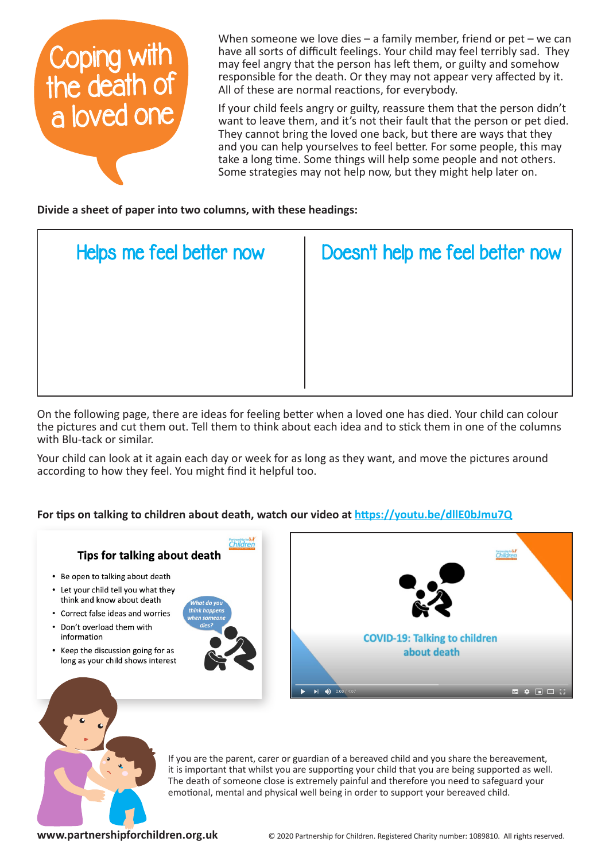

When someone we love dies – a family member, friend or pet – we can have all sorts of difficult feelings. Your child may feel terribly sad. They may feel angry that the person has left them, or guilty and somehow responsible for the death. Or they may not appear very affected by it. All of these are normal reactions, for everybody.

If your child feels angry or guilty, reassure them that the person didn't want to leave them, and it's not their fault that the person or pet died. They cannot bring the loved one back, but there are ways that they and you can help yourselves to feel better. For some people, this may take a long time. Some things will help some people and not others. Some strategies may not help now, but they might help later on.

**Divide a sheet of paper into two columns, with these headings:**

| Helps me feel better now | Doesn't help me feel better now |
|--------------------------|---------------------------------|
|                          |                                 |
|                          |                                 |
|                          |                                 |

On the following page, there are ideas for feeling better when a loved one has died. Your child can colour the pictures and cut them out. Tell them to think about each idea and to stick them in one of the columns with Blu-tack or similar.

Your child can look at it again each day or week for as long as they want, and move the pictures around according to how they feel. You might find it helpful too.

## **For tips on talking to children about death, watch our video at https://youtu.be/dllE0bJmu7Q**





If you are the parent, carer or guardian of a bereaved child and you share the bereavement, it is important that whilst you are supporting your child that you are being supported as well. The death of someone close is extremely painful and therefore you need to safeguard your emotional, mental and physical well being in order to support your bereaved child.